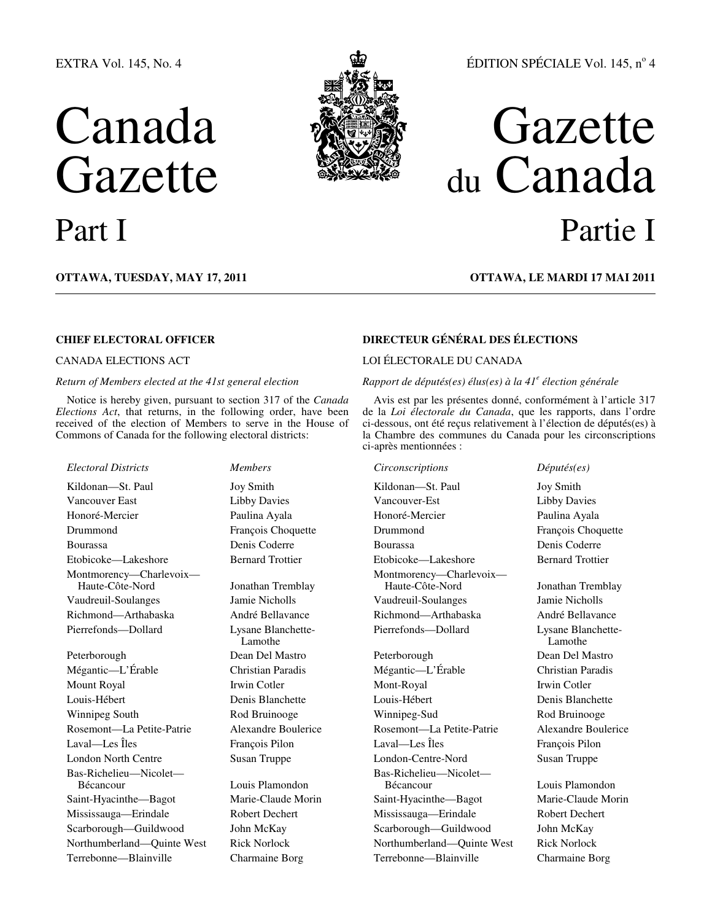# EXTRA Vol. 145, No. 4

# Canada **Gazette**



# ÉDITION SPÉCIALE Vol. 145, nº 4

# Gazette du Canada Part I Partie I

**OTTAWA, TUESDAY, MAY 17, 2011 OTTAWA, LE MARDI 17 MAI 2011**

# *Return of Members elected at the 41st general election*

Notice is hereby given, pursuant to section 317 of the *Canada Elections Act*, that returns, in the following order, have been received of the election of Members to serve in the House of Commons of Canada for the following electoral districts:

# *Electoral Districts Members Circonscriptions Députés(es)*

Vancouver East Libby Davies Vancouver-Est Libby Davies Honoré-Mercier Paulina Ayala Honoré-Mercier Paulina Ayala Drummond François Choquette Drummond François Choquette Bourassa Denis Coderre Bourassa Denis Coderre Etobicoke—Lakeshore Bernard Trottier Etobicoke—Lakeshore Bernard Trottier Montmorency—Charlevoix—<br>Haute-Côte-Nord Vaudreuil-Soulanges Jamie Nicholls Vaudreuil-Soulanges Jamie Nicholls Richmond—Arthabaska André Bellavance Richmond—Arthabaska André Bellavance Pierrefonds—Dollard Lysane Blanchette-

Mégantic—L'Érable Christian Paradis Mégantic—L'Érable Christian Paradis Louis-Hébert Denis Blanchette Louis-Hébert Denis Blanchette Winnipeg South **Rod Bruinooge** Winnipeg-Sud Rod Bruinooge Rod Bruinooge Rosemont—La Petite-Patrie Alexandre Boulerice Rosemont—La Petite-Patrie Alexandre Boulerice Laval—Les Îles François Pilon Laval—Les Îles François Pilon London North Centre Susan Truppe London-Centre-Nord Susan Truppe Bas-Richelieu—Nicolet— Saint-Hyacinthe—Bagot Marie-Claude Morin Saint-Hyacinthe—Bagot Marie-Claude Morin Mississauga—Erindale Robert Dechert Mississauga—Erindale Robert Dechert Scarborough—Guildwood John McKay Scarborough—Guildwood John McKay Northumberland—Quinte West Rick Norlock Northumberland—Quinte West Rick Norlock

Jonathan Tremblay Lamothe

Louis Plamondon

# **CHIEF ELECTORAL OFFICER DIRECTEUR GÉNÉRAL DES ÉLECTIONS**

# CANADA ELECTIONS ACT LOI ÉLECTORALE DU CANADA

# *Rapport de députés(es) élus(es) à la 41<sup>e</sup> élection générale*

Avis est par les présentes donné, conformément à l'article 317 de la *Loi électorale du Canada*, que les rapports, dans l'ordre ci-dessous, ont été reçus relativement à l'élection de députés(es) à la Chambre des communes du Canada pour les circonscriptions ci-après mentionnées :

Kildonan—St. Paul Joy Smith Cilconan—St. Paul Joy Smith Kildonan—St. Paul Joy Smith Montmorency—Charlevoix—<br>Haute-Côte-Nord Pierrefonds—Dollard Lysane Blanchette-

Peterborough Dean Del Mastro Peterborough Dean Del Mastro Mount Royal Irwin Cotler Irwin Cotler Coller Mont-Royal Irwin Cotler Irwin Cotler Bas-Richelieu—Nicolet— Terrebonne—Blainville Charmaine Borg Terrebonne—Blainville Charmaine Borg

Jonathan Tremblay Lamothe

Louis Plamondon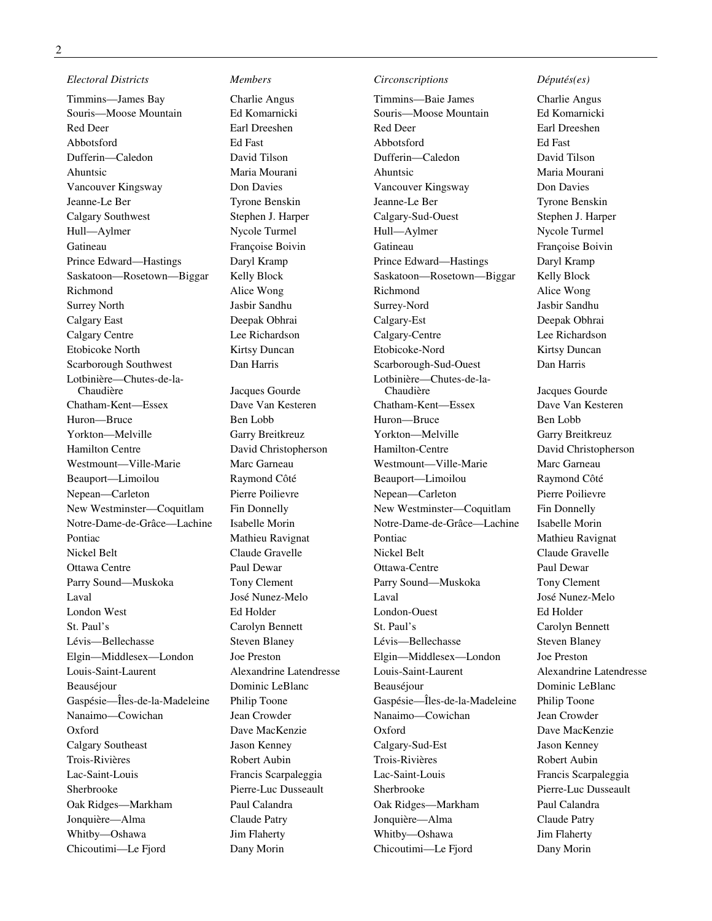# *Electoral Districts Members Circonscriptions Députés(es)*

Timmins—James Bay Charlie Angus Timmins—Baie James Charlie Angus Souris—Moose Mountain Ed Komarnicki Souris—Moose Mountain Ed Komarnicki Red Deer Earl Dreeshen Red Deer Earl Dreeshen Abbotsford Ed Fast Abbotsford Ed Fast Dufferin—Caledon David Tilson Dufferin—Caledon David Tilson Ahuntsic Maria Mourani Ahuntsic Maria Mourani Vancouver Kingsway Don Davies Vancouver Kingsway Don Davies Jeanne-Le Ber Tyrone Benskin Jeanne-Le Ber Tyrone Benskin Calgary Southwest Stephen J. Harper Calgary-Sud-Ouest Stephen J. Harper Hull—Aylmer Nycole Turmel Hull—Aylmer Nycole Turmel Gatineau Françoise Boivin Gatineau Françoise Boivin Prince Edward—Hastings Daryl Kramp Prince Edward—Hastings Daryl Kramp Saskatoon—Rosetown—Biggar Kelly Block Saskatoon—Rosetown—Biggar Kelly Block Richmond Alice Wong Richmond Alice Wong Richmond Alice Wong Surrey North Jasbir Sandhu Surrey-Nord Jasbir Sandhu Calgary East Deepak Obhrai Calgary-Est Deepak Obhrai Calgary Centre Lee Richardson Calgary-Centre Lee Richardson Etobicoke North Kirtsy Duncan Etobicoke-Nord Kirtsy Duncan Scarborough Southwest Dan Harris Scarborough-Sud-Ouest Dan Harris Lotbinière—Chutes-de-la-Chatham-Kent—Essex Dave Van Kesteren Chatham-Kent—Essex Dave Van Kesteren Huron—Bruce Ben Lobb Huron—Bruce Ben Lobb Yorkton—Melville Garry Breitkreuz Yorkton—Melville Garry Breitkreuz Hamilton Centre David Christopherson Hamilton-Centre David Christopherson Westmount—Ville-Marie Marc Garneau Westmount—Ville-Marie Marc Garneau Beauport—Limoilou Raymond Côté Beauport—Limoilou Raymond Côté Nepean—Carleton Pierre Poilievre Nepean—Carleton Pierre Poilievre New Westminster—Coquitlam Fin Donnelly New Westminster—Coquitlam Fin Donnelly Notre-Dame-de-Grâce—Lachine Isabelle Morin Notre-Dame-de-Grâce—Lachine Isabelle Morin Pontiac Mathieu Ravignat Pontiac Mathieu Ravignat Nickel Belt Claude Gravelle Nickel Belt Claude Gravelle Ottawa Centre Paul Dewar Ottawa-Centre Paul Dewar Parry Sound—Muskoka Tony Clement Parry Sound—Muskoka Tony Clement Laval José Nunez-Melo Laval José Nunez-Melo London West Ed Holder London-Ouest Ed Holder St. Paul's Carolyn Bennett St. Paul's Carolyn Bennett Lévis—Bellechasse Steven Blaney Lévis—Bellechasse Steven Blaney Elgin—Middlesex—London Joe Preston Elgin—Middlesex—London Joe Preston Louis-Saint-Laurent Alexandrine Latendresse Louis-Saint-Laurent Alexandrine Latendresse Beauséjour **Dominic LeBlanc** Beauséjour **Dominic LeBlanc** Beauséjour **Dominic LeBlanc** Gaspésie—Îles-de-la-Madeleine Philip Toone Gaspésie—Îles-de-la-Madeleine Philip Toone Nanaimo—Cowichan Jean Crowder Nanaimo—Cowichan Jean Crowder Oxford Dave MacKenzie Oxford Dave MacKenzie Calgary Southeast Jason Kenney Calgary-Sud-Est Jason Kenney Trois-Rivières Robert Aubin Trois-Rivières Robert Aubin Lac-Saint-Louis Francis Scarpaleggia Lac-Saint-Louis Francis Scarpaleggia Sherbrooke Pierre-Luc Dusseault Sherbrooke Pierre-Luc Dusseault Oak Ridges—Markham Paul Calandra Oak Ridges—Markham Paul Calandra Jonquière—Alma Claude Patry Jonquière—Alma Claude Patry Whitby—Oshawa Jim Flaherty Whitby—Oshawa Jim Flaherty Chicoutimi—Le Fjord Dany Morin Chicoutimi—Le Fjord Dany Morin

Jacques Gourde

Lotbinière—Chutes-de-la-

Jacques Gourde